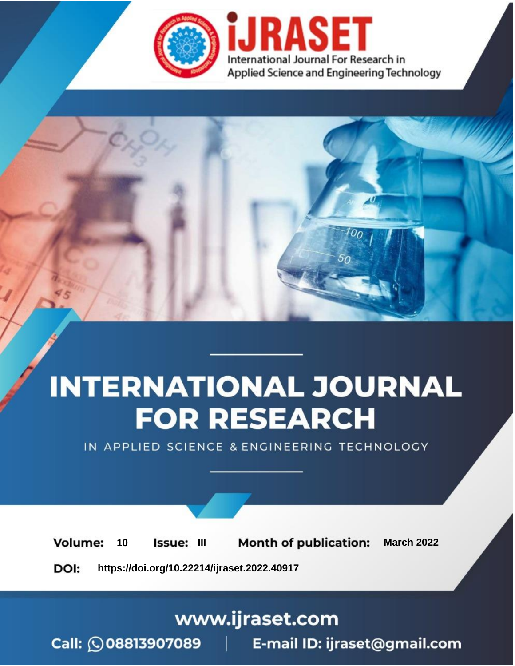

# **INTERNATIONAL JOURNAL FOR RESEARCH**

IN APPLIED SCIENCE & ENGINEERING TECHNOLOGY

**Month of publication: Volume:** 10 Issue: III **March 2022** DOI: https://doi.org/10.22214/ijraset.2022.40917

www.ijraset.com

Call: 008813907089 | E-mail ID: ijraset@gmail.com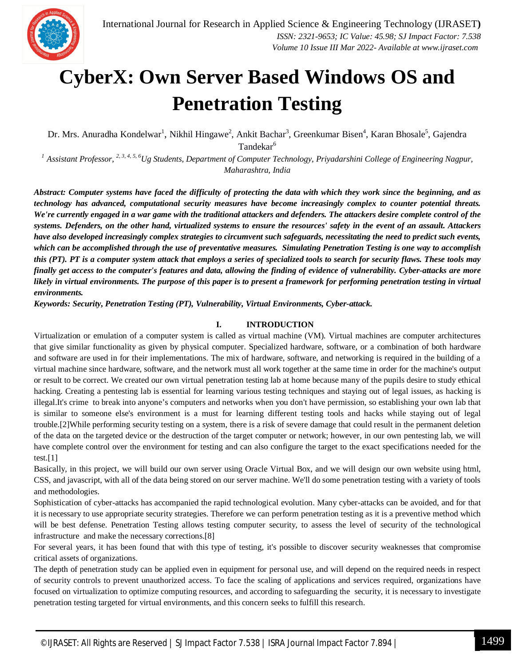

## **CyberX: Own Server Based Windows OS and Penetration Testing**

Dr. Mrs. Anuradha Kondelwar<sup>1</sup>, Nikhil Hingawe<sup>2</sup>, Ankit Bachar<sup>3</sup>, Greenkumar Bisen<sup>4</sup>, Karan Bhosale<sup>5</sup>, Gajendra Tandekar<sup>6</sup>

*<sup>1</sup> Assistant Professor, 2, 3, 4, 5, <sup>6</sup>Ug Students, Department of Computer Technology, Priyadarshini College of Engineering Nagpur, Maharashtra, India*

*Abstract: Computer systems have faced the difficulty of protecting the data with which they work since the beginning, and as technology has advanced, computational security measures have become increasingly complex to counter potential threats. We're currently engaged in a war game with the traditional attackers and defenders. The attackers desire complete control of the systems. Defenders, on the other hand, virtualized systems to ensure the resources' safety in the event of an assault. Attackers have also developed increasingly complex strategies to circumvent such safeguards, necessitating the need to predict such events, which can be accomplished through the use of preventative measures. Simulating Penetration Testing is one way to accomplish this (PT). PT is a computer system attack that employs a series of specialized tools to search for security flaws. These tools may finally get access to the computer's features and data, allowing the finding of evidence of vulnerability. Cyber-attacks are more likely in virtual environments. The purpose of this paper is to present a framework for performing penetration testing in virtual environments.*

*Keywords: Security, Penetration Testing (PT), Vulnerability, Virtual Environments, Cyber-attack.*

## **I. INTRODUCTION**

Virtualization or emulation of a computer system is called as virtual machine (VM). Virtual machines are computer architectures that give similar functionality as given by physical computer. Specialized hardware, software, or a combination of both hardware and software are used in for their implementations. The mix of hardware, software, and networking is required in the building of a virtual machine since hardware, software, and the network must all work together at the same time in order for the machine's output or result to be correct. We created our own virtual penetration testing lab at home because many of the pupils desire to study ethical hacking. Creating a pentesting lab is essential for learning various testing techniques and staying out of legal issues, as hacking is illegal.It's crime to break into anyone's computers and networks when you don't have permission, so establishing your own lab that is similar to someone else's environment is a must for learning different testing tools and hacks while staying out of legal trouble.[2]While performing security testing on a system, there is a risk of severe damage that could result in the permanent deletion of the data on the targeted device or the destruction of the target computer or network; however, in our own pentesting lab, we will have complete control over the environment for testing and can also configure the target to the exact specifications needed for the test.[1]

Basically, in this project, we will build our own server using Oracle Virtual Box, and we will design our own website using html, CSS, and javascript, with all of the data being stored on our server machine. We'll do some penetration testing with a variety of tools and methodologies.

Sophistication of cyber-attacks has accompanied the rapid technological evolution. Many cyber-attacks can be avoided, and for that it is necessary to use appropriate security strategies. Therefore we can perform penetration testing as it is a preventive method which will be best defense. Penetration Testing allows testing computer security, to assess the level of security of the technological infrastructure and make the necessary corrections.[8]

For several years, it has been found that with this type of testing, it's possible to discover security weaknesses that compromise critical assets of organizations.

The depth of penetration study can be applied even in equipment for personal use, and will depend on the required needs in respect of security controls to prevent unauthorized access. To face the scaling of applications and services required, organizations have focused on virtualization to optimize computing resources, and according to safeguarding the security, it is necessary to investigate penetration testing targeted for virtual environments, and this concern seeks to fulfill this research.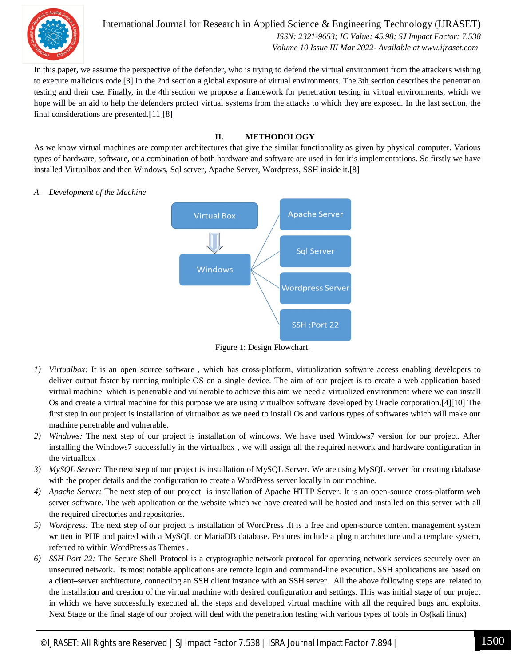

International Journal for Research in Applied Science & Engineering Technology (IJRASET**)**  *ISSN: 2321-9653; IC Value: 45.98; SJ Impact Factor: 7.538 Volume 10 Issue III Mar 2022- Available at www.ijraset.com*

In this paper, we assume the perspective of the defender, who is trying to defend the virtual environment from the attackers wishing to execute malicious code.[3] In the 2nd section a global exposure of virtual environments. The 3th section describes the penetration testing and their use. Finally, in the 4th section we propose a framework for penetration testing in virtual environments, which we hope will be an aid to help the defenders protect virtual systems from the attacks to which they are exposed. In the last section, the final considerations are presented.[11][8]

## **II. METHODOLOGY**

As we know virtual machines are computer architectures that give the similar functionality as given by physical computer. Various types of hardware, software, or a combination of both hardware and software are used in for it's implementations. So firstly we have installed Virtualbox and then Windows, Sql server, Apache Server, Wordpress, SSH inside it.[8]

*A. Development of the Machine*



Figure 1: Design Flowchart.

- *1) Virtualbox:* It is an open source software , which has cross-platform, virtualization software access enabling developers to deliver output faster by running multiple OS on a single device. The aim of our project is to create a web application based virtual machine which is penetrable and vulnerable to achieve this aim we need a virtualized environment where we can install Os and create a virtual machine for this purpose we are using virtualbox software developed by Oracle corporation.[4][10] The first step in our project is installation of virtualbox as we need to install Os and various types of softwares which will make our machine penetrable and vulnerable.
- *2) Windows:* The next step of our project is installation of windows. We have used Windows7 version for our project. After installing the Windows7 successfully in the virtualbox , we will assign all the required network and hardware configuration in the virtualbox .
- *3) MySQL Server:* The next step of our project is installation of MySQL Server. We are using MySQL server for creating database with the proper details and the configuration to create a WordPress server locally in our machine.
- *4) Apache Server:* The next step of our project is installation of Apache HTTP Server. It is an open-source cross-platform web server software. The web application or the website which we have created will be hosted and installed on this server with all the required directories and repositories.
- *5) Wordpress:* The next step of our project is installation of WordPress .It is a free and open-source content management system written in PHP and paired with a MySQL or MariaDB database. Features include a plugin architecture and a template system, referred to within WordPress as Themes .
- *6) SSH Port 22:* The Secure Shell Protocol is a cryptographic network protocol for operating network services securely over an unsecured network. Its most notable applications are remote login and command-line execution. SSH applications are based on a client–server architecture, connecting an SSH client instance with an SSH server. All the above following steps are related to the installation and creation of the virtual machine with desired configuration and settings. This was initial stage of our project in which we have successfully executed all the steps and developed virtual machine with all the required bugs and exploits. Next Stage or the final stage of our project will deal with the penetration testing with various types of tools in Os(kali linux)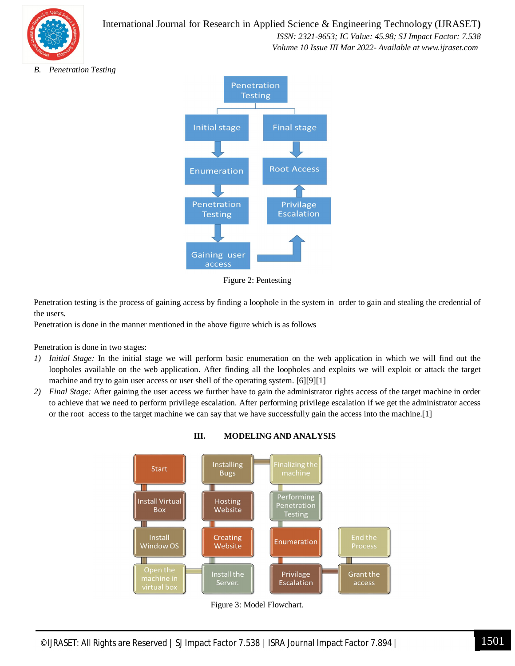

## International Journal for Research in Applied Science & Engineering Technology (IJRASET**)**

 *ISSN: 2321-9653; IC Value: 45.98; SJ Impact Factor: 7.538*

 *Volume 10 Issue III Mar 2022- Available at www.ijraset.com*

*B. Penetration Testing*



Figure 2: Pentesting

Penetration testing is the process of gaining access by finding a loophole in the system in order to gain and stealing the credential of the users.

Penetration is done in the manner mentioned in the above figure which is as follows

Penetration is done in two stages:

- *1) Initial Stage:* In the initial stage we will perform basic enumeration on the web application in which we will find out the loopholes available on the web application. After finding all the loopholes and exploits we will exploit or attack the target machine and try to gain user access or user shell of the operating system. [6][9][1]
- *2) Final Stage:* After gaining the user access we further have to gain the administrator rights access of the target machine in order to achieve that we need to perform privilege escalation. After performing privilege escalation if we get the administrator access or the root access to the target machine we can say that we have successfully gain the access into the machine.[1]



**III. MODELING AND ANALYSIS**

Figure 3: Model Flowchart.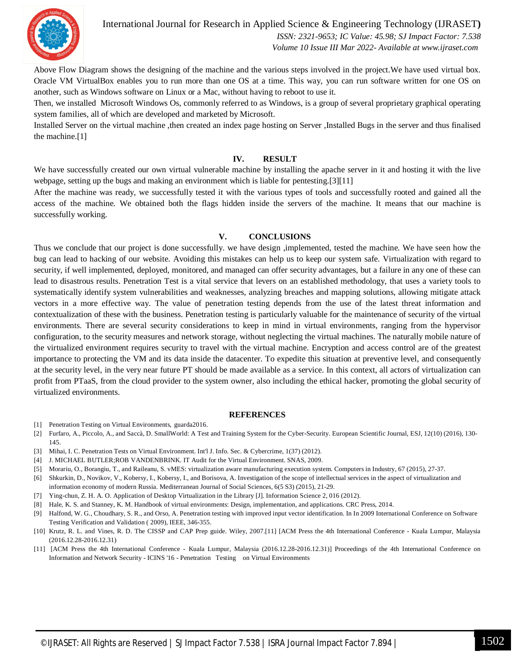

International Journal for Research in Applied Science & Engineering Technology (IJRASET**)**

 *ISSN: 2321-9653; IC Value: 45.98; SJ Impact Factor: 7.538 Volume 10 Issue III Mar 2022- Available at www.ijraset.com*

Above Flow Diagram shows the designing of the machine and the various steps involved in the project.We have used virtual box. Oracle VM VirtualBox enables you to run more than one OS at a time. This way, you can run software written for one OS on another, such as Windows software on Linux or a Mac, without having to reboot to use it.

Then, we installed Microsoft Windows Os, commonly referred to as Windows, is a group of several proprietary graphical operating system families, all of which are developed and marketed by Microsoft.

Installed Server on the virtual machine ,then created an index page hosting on Server ,Installed Bugs in the server and thus finalised the machine.[1]

### **IV. RESULT**

We have successfully created our own virtual vulnerable machine by installing the apache server in it and hosting it with the live webpage, setting up the bugs and making an environment which is liable for pentesting.[3][11]

After the machine was ready, we successfully tested it with the various types of tools and successfully rooted and gained all the access of the machine. We obtained both the flags hidden inside the servers of the machine. It means that our machine is successfully working.

### **V. CONCLUSIONS**

Thus we conclude that our project is done successfully. we have design ,implemented, tested the machine. We have seen how the bug can lead to hacking of our website. Avoiding this mistakes can help us to keep our system safe. Virtualization with regard to security, if well implemented, deployed, monitored, and managed can offer security advantages, but a failure in any one of these can lead to disastrous results. Penetration Test is a vital service that levers on an established methodology, that uses a variety tools to systematically identify system vulnerabilities and weaknesses, analyzing breaches and mapping solutions, allowing mitigate attack vectors in a more effective way. The value of penetration testing depends from the use of the latest threat information and contextualization of these with the business. Penetration testing is particularly valuable for the maintenance of security of the virtual environments. There are several security considerations to keep in mind in virtual environments, ranging from the hypervisor configuration, to the security measures and network storage, without neglecting the virtual machines. The naturally mobile nature of the virtualized environment requires security to travel with the virtual machine. Encryption and access control are of the greatest importance to protecting the VM and its data inside the datacenter. To expedite this situation at preventive level, and consequently at the security level, in the very near future PT should be made available as a service. In this context, all actors of virtualization can profit from PTaaS, from the cloud provider to the system owner, also including the ethical hacker, promoting the global security of virtualized environments.

#### **REFERENCES**

- [1] Penetration Testing on Virtual Environments, guarda2016.
- [2] Furfaro, A., Piccolo, A., and Saccà, D. SmallWorld: A Test and Training System for the Cyber-Security. European Scientific Journal, ESJ, 12(10) (2016), 130- 145.
- [3] Mihai, I. C. Penetration Tests on Virtual Environment. Int'l J. Info. Sec. & Cybercrime, 1(37) (2012).
- [4] J. MICHAEL BUTLER;ROB VANDENBRINK. IT Audit for the Virtual Environment. SNAS, 2009.
- [5] Morariu, O., Borangiu, T., and Raileanu, S. vMES: virtualization aware manufacturing execution system. Computers in Industry, 67 (2015), 27-37.
- [6] Shkurkin, D., Novikov, V., Kobersy, I., Kobersy, I., and Borisova, A. Investigation of the scope of intellectual services in the aspect of virtualization and information economy of modern Russia. Mediterranean Journal of Social Sciences, 6(5 S3) (2015), 21-29.
- [7] Ying-chun, Z. H. A. O. Application of Desktop Virtualization in the Library [J]. Information Science 2, 016 (2012).
- [8] Hale, K. S. and Stanney, K. M. Handbook of virtual environments: Design, implementation, and applications. CRC Press, 2014.
- [9] Halfond, W. G., Choudhary, S. R., and Orso, A. Penetration testing with improved input vector identification. In In 2009 International Conference on Software Testing Verification and Validation ( 2009), IEEE, 346-355.
- [10] Krutz, R. L. and Vines, R. D. The CISSP and CAP Prep guide. Wiley, 2007.[11] [ACM Press the 4th International Conference Kuala Lumpur, Malaysia (2016.12.28-2016.12.31)
- [11] [ACM Press the 4th International Conference Kuala Lumpur, Malaysia (2016.12.28-2016.12.31)] Proceedings of the 4th International Conference on Information and Network Security - ICINS '16 - Penetration Testing on Virtual Environments